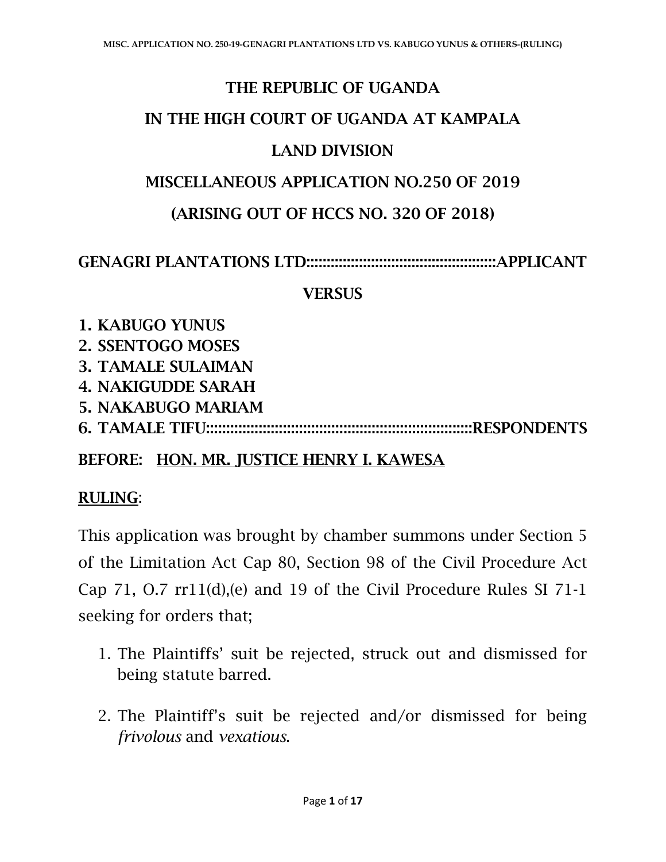## THE REPUBLIC OF UGANDA

### IN THE HIGH COURT OF UGANDA AT KAMPALA

### LAND DIVISION

#### MISCELLANEOUS APPLICATION NO.250 OF 2019

## (ARISING OUT OF HCCS NO. 320 OF 2018)

### GENAGRI PLANTATIONS LTD:::::::::::::::::::::::::::::::::::::::::::::::APPLICANT

#### **VERSUS**

- 1. KABUGO YUNUS
- 2. SSENTOGO MOSES
- 3. TAMALE SULAIMAN
- 4. NAKIGUDDE SARAH
- 5. NAKABUGO MARIAM
- 6. TAMALE TIFU::::::::::::::::::::::::::::::::::::::::::::::::::::::::::::::::::RESPONDENTS

## BEFORE: HON. MR. JUSTICE HENRY I. KAWESA

## RULING:

This application was brought by chamber summons under Section 5 of the Limitation Act Cap 80, Section 98 of the Civil Procedure Act Cap 71, O.7 rr11(d),(e) and 19 of the Civil Procedure Rules SI 71-1 seeking for orders that;

- 1. The Plaintiffs' suit be rejected, struck out and dismissed for being statute barred.
- 2. The Plaintiff's suit be rejected and/or dismissed for being *frivolous* and *vexatious*.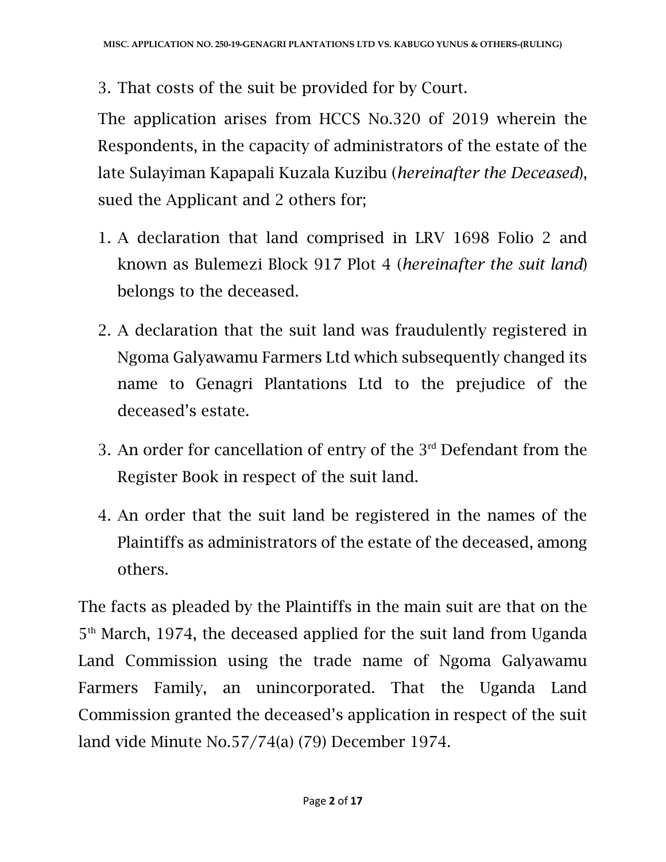3. That costs of the suit be provided for by Court.

The application arises from HCCS No.320 of 2019 wherein the Respondents, in the capacity of administrators of the estate of the late Sulayiman Kapapali Kuzala Kuzibu (*hereinafter the Deceased*), sued the Applicant and 2 others for;

- 1. A declaration that land comprised in LRV 1698 Folio 2 and known as Bulemezi Block 917 Plot 4 (*hereinafter the suit land*) belongs to the deceased.
- 2. A declaration that the suit land was fraudulently registered in Ngoma Galyawamu Farmers Ltd which subsequently changed its name to Genagri Plantations Ltd to the prejudice of the deceased's estate.
- 3. An order for cancellation of entry of the 3rd Defendant from the Register Book in respect of the suit land.
- 4. An order that the suit land be registered in the names of the Plaintiffs as administrators of the estate of the deceased, among others.

The facts as pleaded by the Plaintiffs in the main suit are that on the 5th March, 1974, the deceased applied for the suit land from Uganda Land Commission using the trade name of Ngoma Galyawamu Farmers Family, an unincorporated. That the Uganda Land Commission granted the deceased's application in respect of the suit land vide Minute No.57/74(a) (79) December 1974.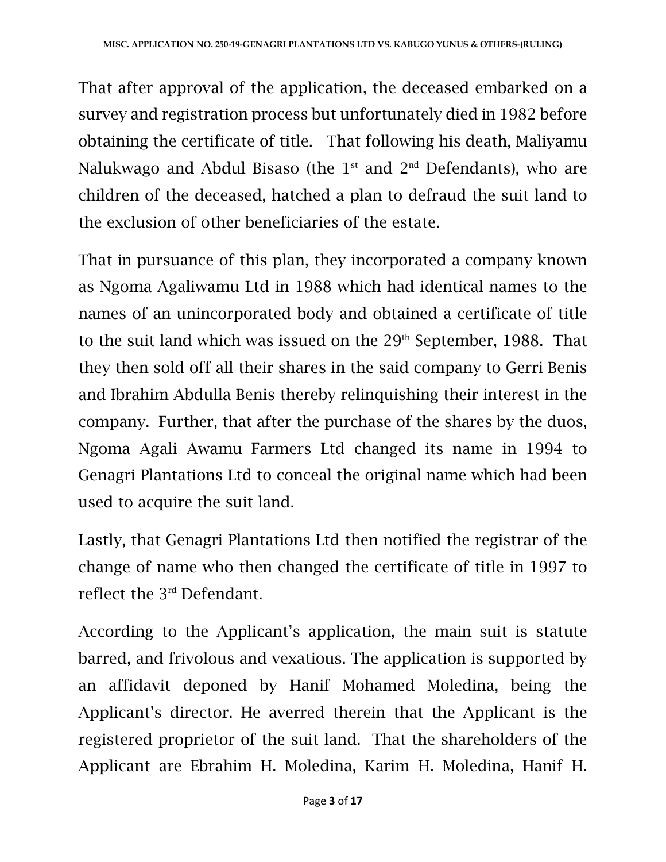That after approval of the application, the deceased embarked on a survey and registration process but unfortunately died in 1982 before obtaining the certificate of title. That following his death, Maliyamu Nalukwago and Abdul Bisaso (the  $1<sup>st</sup>$  and  $2<sup>nd</sup>$  Defendants), who are children of the deceased, hatched a plan to defraud the suit land to the exclusion of other beneficiaries of the estate.

That in pursuance of this plan, they incorporated a company known as Ngoma Agaliwamu Ltd in 1988 which had identical names to the names of an unincorporated body and obtained a certificate of title to the suit land which was issued on the  $29<sup>th</sup>$  September, 1988. That they then sold off all their shares in the said company to Gerri Benis and Ibrahim Abdulla Benis thereby relinquishing their interest in the company. Further, that after the purchase of the shares by the duos, Ngoma Agali Awamu Farmers Ltd changed its name in 1994 to Genagri Plantations Ltd to conceal the original name which had been used to acquire the suit land.

Lastly, that Genagri Plantations Ltd then notified the registrar of the change of name who then changed the certificate of title in 1997 to reflect the 3rd Defendant.

According to the Applicant's application, the main suit is statute barred, and frivolous and vexatious. The application is supported by an affidavit deponed by Hanif Mohamed Moledina, being the Applicant's director. He averred therein that the Applicant is the registered proprietor of the suit land. That the shareholders of the Applicant are Ebrahim H. Moledina, Karim H. Moledina, Hanif H.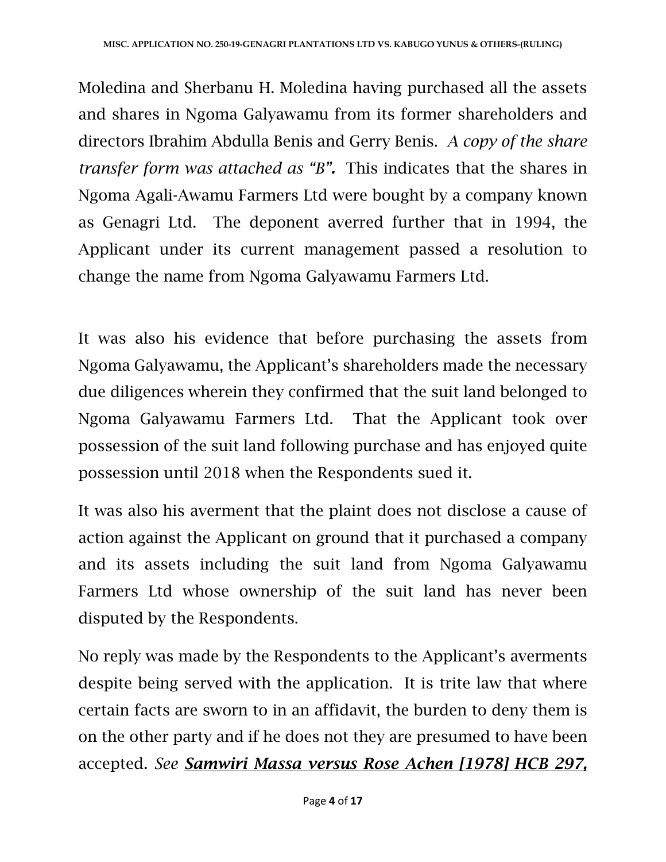Moledina and Sherbanu H. Moledina having purchased all the assets and shares in Ngoma Galyawamu from its former shareholders and directors Ibrahim Abdulla Benis and Gerry Benis. *A copy of the share transfer form was attached as "B".* This indicates that the shares in Ngoma Agali-Awamu Farmers Ltd were bought by a company known as Genagri Ltd. The deponent averred further that in 1994, the Applicant under its current management passed a resolution to change the name from Ngoma Galyawamu Farmers Ltd.

It was also his evidence that before purchasing the assets from Ngoma Galyawamu, the Applicant's shareholders made the necessary due diligences wherein they confirmed that the suit land belonged to Ngoma Galyawamu Farmers Ltd. That the Applicant took over possession of the suit land following purchase and has enjoyed quite possession until 2018 when the Respondents sued it.

It was also his averment that the plaint does not disclose a cause of action against the Applicant on ground that it purchased a company and its assets including the suit land from Ngoma Galyawamu Farmers Ltd whose ownership of the suit land has never been disputed by the Respondents.

No reply was made by the Respondents to the Applicant's averments despite being served with the application. It is trite law that where certain facts are sworn to in an affidavit, the burden to deny them is on the other party and if he does not they are presumed to have been accepted. *See Samwiri Massa versus Rose Achen [1978] HCB 297,*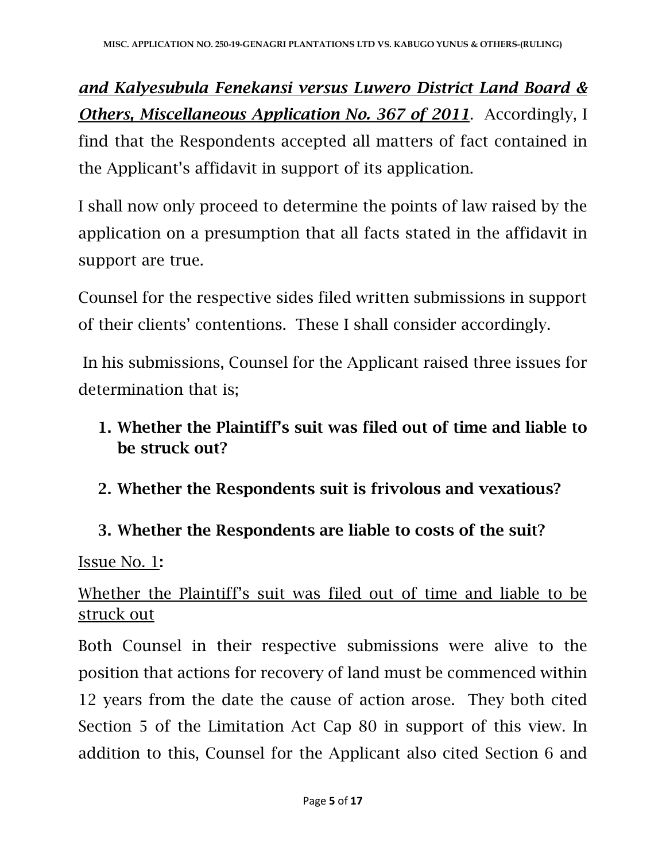*and Kalyesubula Fenekansi versus Luwero District Land Board & Others, Miscellaneous Application No. 367 of 2011*. Accordingly, I find that the Respondents accepted all matters of fact contained in the Applicant's affidavit in support of its application.

I shall now only proceed to determine the points of law raised by the application on a presumption that all facts stated in the affidavit in support are true.

Counsel for the respective sides filed written submissions in support of their clients' contentions. These I shall consider accordingly.

In his submissions, Counsel for the Applicant raised three issues for determination that is;

# 1. Whether the Plaintiff's suit was filed out of time and liable to be struck out?

2. Whether the Respondents suit is frivolous and vexatious?

# 3. Whether the Respondents are liable to costs of the suit?

Issue No. 1:

# Whether the Plaintiff's suit was filed out of time and liable to be struck out

Both Counsel in their respective submissions were alive to the position that actions for recovery of land must be commenced within 12 years from the date the cause of action arose. They both cited Section 5 of the Limitation Act Cap 80 in support of this view. In addition to this, Counsel for the Applicant also cited Section 6 and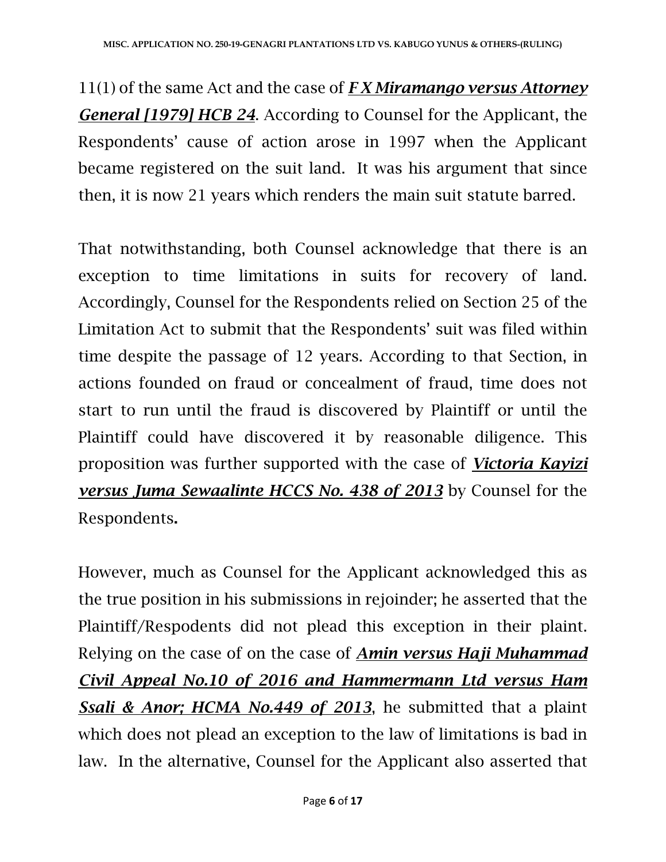11(1) of the same Act and the case of *F X Miramango versus Attorney General [1979] HCB 24*. According to Counsel for the Applicant, the Respondents' cause of action arose in 1997 when the Applicant became registered on the suit land. It was his argument that since then, it is now 21 years which renders the main suit statute barred.

That notwithstanding, both Counsel acknowledge that there is an exception to time limitations in suits for recovery of land. Accordingly, Counsel for the Respondents relied on Section 25 of the Limitation Act to submit that the Respondents' suit was filed within time despite the passage of 12 years. According to that Section, in actions founded on fraud or concealment of fraud, time does not start to run until the fraud is discovered by Plaintiff or until the Plaintiff could have discovered it by reasonable diligence. This proposition was further supported with the case of *Victoria Kayizi versus Juma Sewaalinte HCCS No. 438 of 2013* by Counsel for the Respondents.

However, much as Counsel for the Applicant acknowledged this as the true position in his submissions in rejoinder; he asserted that the Plaintiff/Respodents did not plead this exception in their plaint. Relying on the case of on the case of *Amin versus Haji Muhammad Civil Appeal No.10 of 2016 and Hammermann Ltd versus Ham Ssali & Anor; HCMA No.449 of 2013*, he submitted that a plaint which does not plead an exception to the law of limitations is bad in law. In the alternative, Counsel for the Applicant also asserted that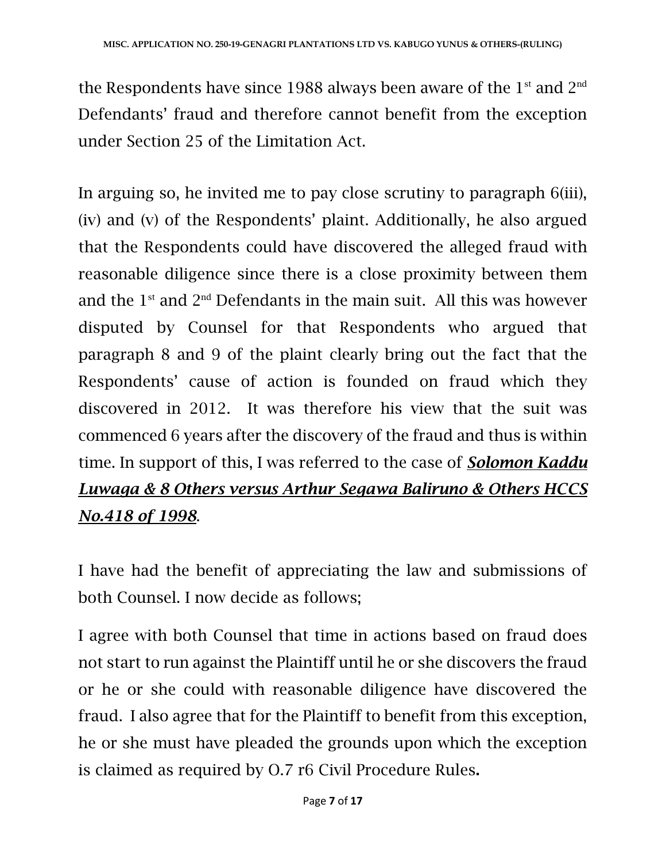the Respondents have since 1988 always been aware of the  $1<sup>st</sup>$  and  $2<sup>nd</sup>$ Defendants' fraud and therefore cannot benefit from the exception under Section 25 of the Limitation Act.

In arguing so, he invited me to pay close scrutiny to paragraph 6(iii), (iv) and (v) of the Respondents' plaint. Additionally, he also argued that the Respondents could have discovered the alleged fraud with reasonable diligence since there is a close proximity between them and the  $1<sup>st</sup>$  and  $2<sup>nd</sup>$  Defendants in the main suit. All this was however disputed by Counsel for that Respondents who argued that paragraph 8 and 9 of the plaint clearly bring out the fact that the Respondents' cause of action is founded on fraud which they discovered in 2012. It was therefore his view that the suit was commenced 6 years after the discovery of the fraud and thus is within time. In support of this, I was referred to the case of *Solomon Kaddu Luwaga & 8 Others versus Arthur Segawa Baliruno & Others HCCS No.418 of 1998*.

I have had the benefit of appreciating the law and submissions of both Counsel. I now decide as follows;

I agree with both Counsel that time in actions based on fraud does not start to run against the Plaintiff until he or she discovers the fraud or he or she could with reasonable diligence have discovered the fraud. I also agree that for the Plaintiff to benefit from this exception, he or she must have pleaded the grounds upon which the exception is claimed as required by O.7 r6 Civil Procedure Rules.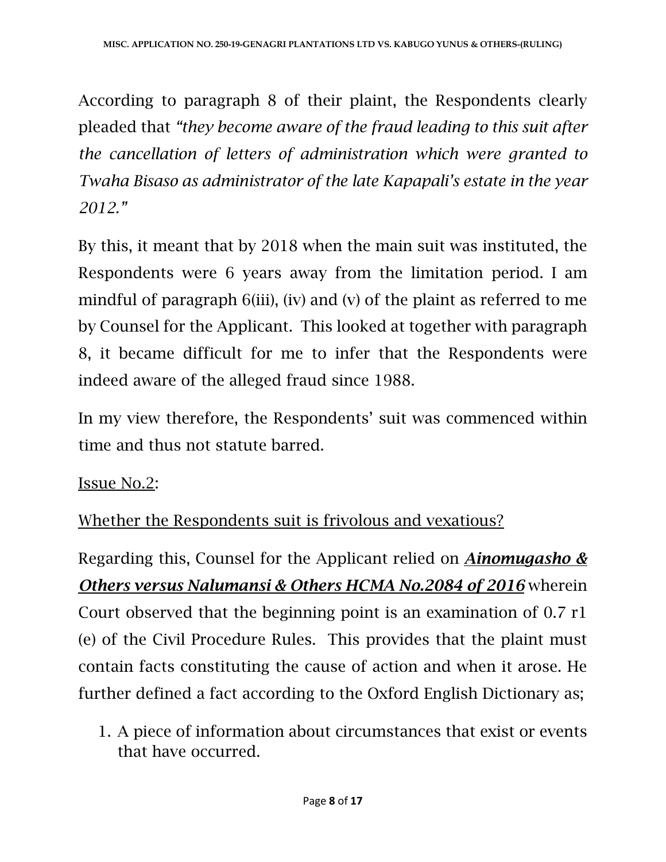According to paragraph 8 of their plaint, the Respondents clearly pleaded that *"they become aware of the fraud leading to this suit after the cancellation of letters of administration which were granted to Twaha Bisaso as administrator of the late Kapapali's estate in the year 2012."*

By this, it meant that by 2018 when the main suit was instituted, the Respondents were 6 years away from the limitation period. I am mindful of paragraph 6(iii), (iv) and (v) of the plaint as referred to me by Counsel for the Applicant. This looked at together with paragraph 8, it became difficult for me to infer that the Respondents were indeed aware of the alleged fraud since 1988.

In my view therefore, the Respondents' suit was commenced within time and thus not statute barred.

# Issue No.2:

Whether the Respondents suit is frivolous and vexatious?

Regarding this, Counsel for the Applicant relied on *Ainomugasho & Others versus Nalumansi & Others HCMA No.2084 of 2016* wherein Court observed that the beginning point is an examination of 0.7 r1 (e) of the Civil Procedure Rules. This provides that the plaint must contain facts constituting the cause of action and when it arose. He further defined a fact according to the Oxford English Dictionary as;

1. A piece of information about circumstances that exist or events that have occurred.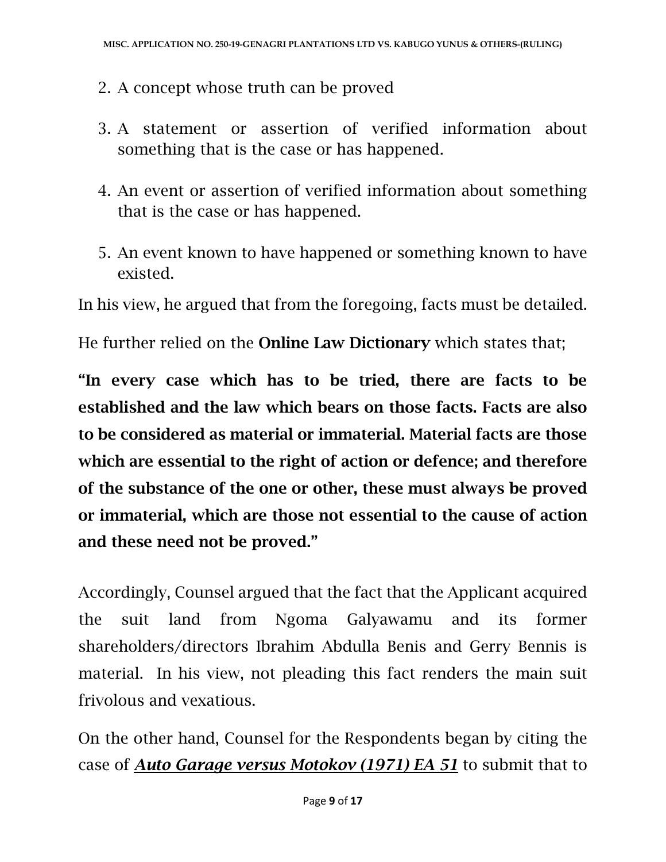- 2. A concept whose truth can be proved
- 3. A statement or assertion of verified information about something that is the case or has happened.
- 4. An event or assertion of verified information about something that is the case or has happened.
- 5. An event known to have happened or something known to have existed.

In his view, he argued that from the foregoing, facts must be detailed.

He further relied on the Online Law Dictionary which states that;

"In every case which has to be tried, there are facts to be established and the law which bears on those facts. Facts are also to be considered as material or immaterial. Material facts are those which are essential to the right of action or defence; and therefore of the substance of the one or other, these must always be proved or immaterial, which are those not essential to the cause of action and these need not be proved."

Accordingly, Counsel argued that the fact that the Applicant acquired the suit land from Ngoma Galyawamu and its former shareholders/directors Ibrahim Abdulla Benis and Gerry Bennis is material. In his view, not pleading this fact renders the main suit frivolous and vexatious.

On the other hand, Counsel for the Respondents began by citing the case of *Auto Garage versus Motokov (1971) EA 51* to submit that to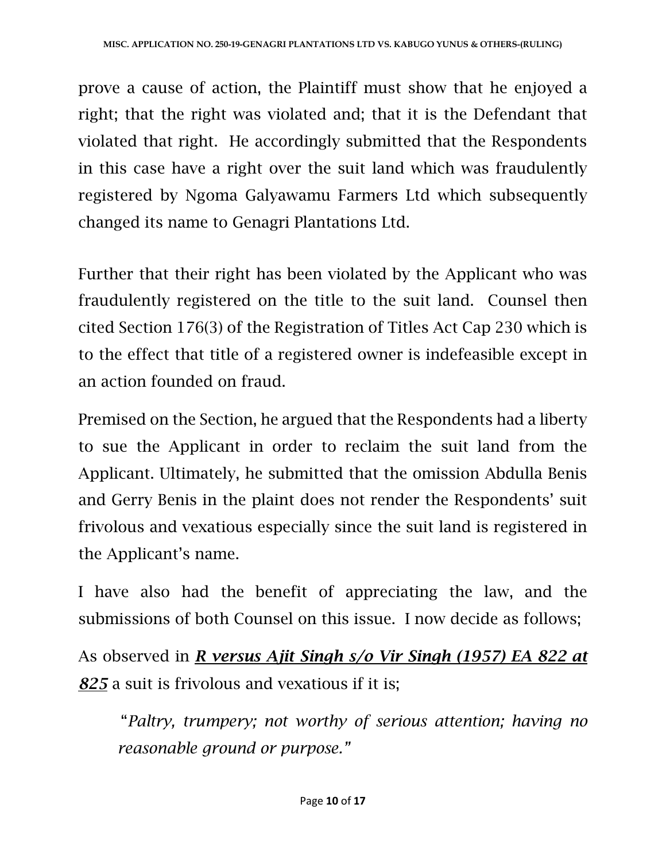prove a cause of action, the Plaintiff must show that he enjoyed a right; that the right was violated and; that it is the Defendant that violated that right. He accordingly submitted that the Respondents in this case have a right over the suit land which was fraudulently registered by Ngoma Galyawamu Farmers Ltd which subsequently changed its name to Genagri Plantations Ltd.

Further that their right has been violated by the Applicant who was fraudulently registered on the title to the suit land. Counsel then cited Section 176(3) of the Registration of Titles Act Cap 230 which is to the effect that title of a registered owner is indefeasible except in an action founded on fraud.

Premised on the Section, he argued that the Respondents had a liberty to sue the Applicant in order to reclaim the suit land from the Applicant. Ultimately, he submitted that the omission Abdulla Benis and Gerry Benis in the plaint does not render the Respondents' suit frivolous and vexatious especially since the suit land is registered in the Applicant's name.

I have also had the benefit of appreciating the law, and the submissions of both Counsel on this issue. I now decide as follows;

As observed in *R versus Ajit Singh s/o Vir Singh (1957) EA 822 at 825* a suit is frivolous and vexatious if it is;

"*Paltry, trumpery; not worthy of serious attention; having no reasonable ground or purpose."*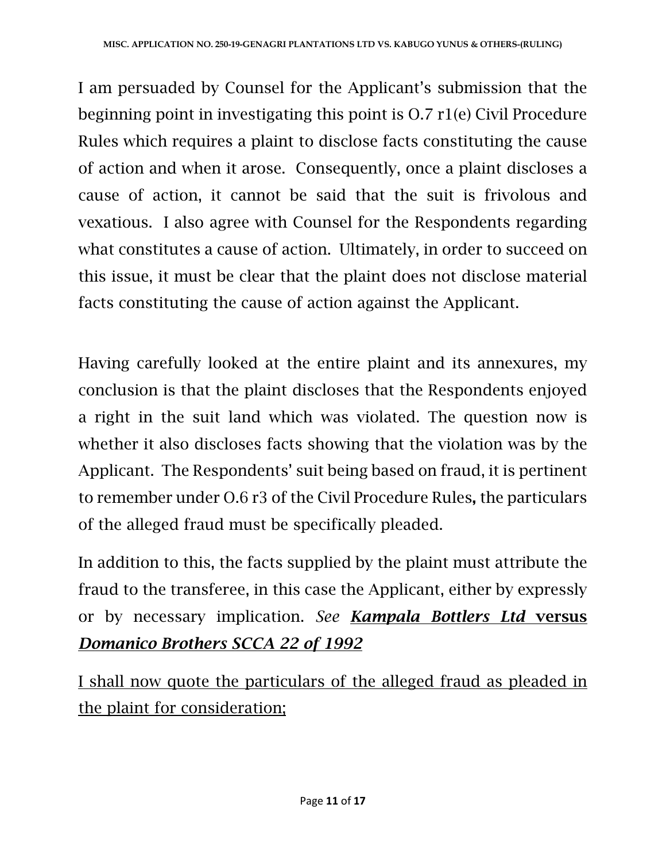I am persuaded by Counsel for the Applicant's submission that the beginning point in investigating this point is O.7 r1(e) Civil Procedure Rules which requires a plaint to disclose facts constituting the cause of action and when it arose. Consequently, once a plaint discloses a cause of action, it cannot be said that the suit is frivolous and vexatious. I also agree with Counsel for the Respondents regarding what constitutes a cause of action. Ultimately, in order to succeed on this issue, it must be clear that the plaint does not disclose material facts constituting the cause of action against the Applicant.

Having carefully looked at the entire plaint and its annexures, my conclusion is that the plaint discloses that the Respondents enjoyed a right in the suit land which was violated. The question now is whether it also discloses facts showing that the violation was by the Applicant. The Respondents' suit being based on fraud, it is pertinent to remember under O.6 r3 of the Civil Procedure Rules, the particulars of the alleged fraud must be specifically pleaded.

In addition to this, the facts supplied by the plaint must attribute the fraud to the transferee, in this case the Applicant, either by expressly or by necessary implication. *See Kampala Bottlers Ltd* versus *Domanico Brothers SCCA 22 of 1992*

I shall now quote the particulars of the alleged fraud as pleaded in the plaint for consideration;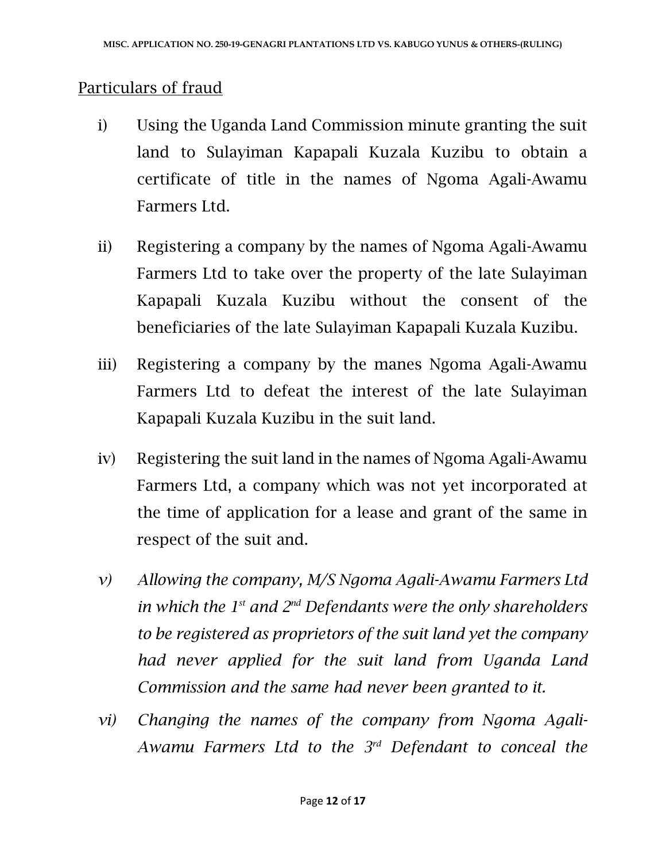#### Particulars of fraud

- i) Using the Uganda Land Commission minute granting the suit land to Sulayiman Kapapali Kuzala Kuzibu to obtain a certificate of title in the names of Ngoma Agali-Awamu Farmers Ltd.
- ii) Registering a company by the names of Ngoma Agali-Awamu Farmers Ltd to take over the property of the late Sulayiman Kapapali Kuzala Kuzibu without the consent of the beneficiaries of the late Sulayiman Kapapali Kuzala Kuzibu.
- iii) Registering a company by the manes Ngoma Agali-Awamu Farmers Ltd to defeat the interest of the late Sulayiman Kapapali Kuzala Kuzibu in the suit land.
- iv) Registering the suit land in the names of Ngoma Agali-Awamu Farmers Ltd, a company which was not yet incorporated at the time of application for a lease and grant of the same in respect of the suit and.
- *v) Allowing the company, M/S Ngoma Agali-Awamu Farmers Ltd in which the 1st and 2nd Defendants were the only shareholders to be registered as proprietors of the suit land yet the company had never applied for the suit land from Uganda Land Commission and the same had never been granted to it.*
- *vi) Changing the names of the company from Ngoma Agali-Awamu Farmers Ltd to the 3rd Defendant to conceal the*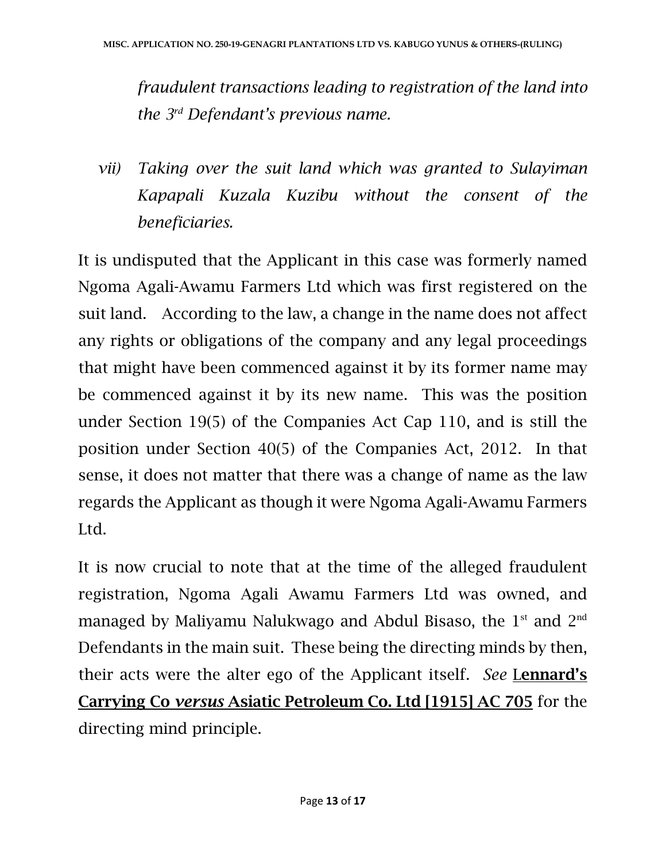*fraudulent transactions leading to registration of the land into the 3rd Defendant's previous name.*

*vii) Taking over the suit land which was granted to Sulayiman Kapapali Kuzala Kuzibu without the consent of the beneficiaries.*

It is undisputed that the Applicant in this case was formerly named Ngoma Agali-Awamu Farmers Ltd which was first registered on the suit land. According to the law, a change in the name does not affect any rights or obligations of the company and any legal proceedings that might have been commenced against it by its former name may be commenced against it by its new name. This was the position under Section 19(5) of the Companies Act Cap 110, and is still the position under Section 40(5) of the Companies Act, 2012. In that sense, it does not matter that there was a change of name as the law regards the Applicant as though it were Ngoma Agali-Awamu Farmers Ltd.

It is now crucial to note that at the time of the alleged fraudulent registration, Ngoma Agali Awamu Farmers Ltd was owned, and managed by Maliyamu Nalukwago and Abdul Bisaso, the 1<sup>st</sup> and 2<sup>nd</sup> Defendants in the main suit. These being the directing minds by then, their acts were the alter ego of the Applicant itself. *See* Lennard's Carrying Co *versus* Asiatic Petroleum Co. Ltd [1915] AC 705 for the directing mind principle.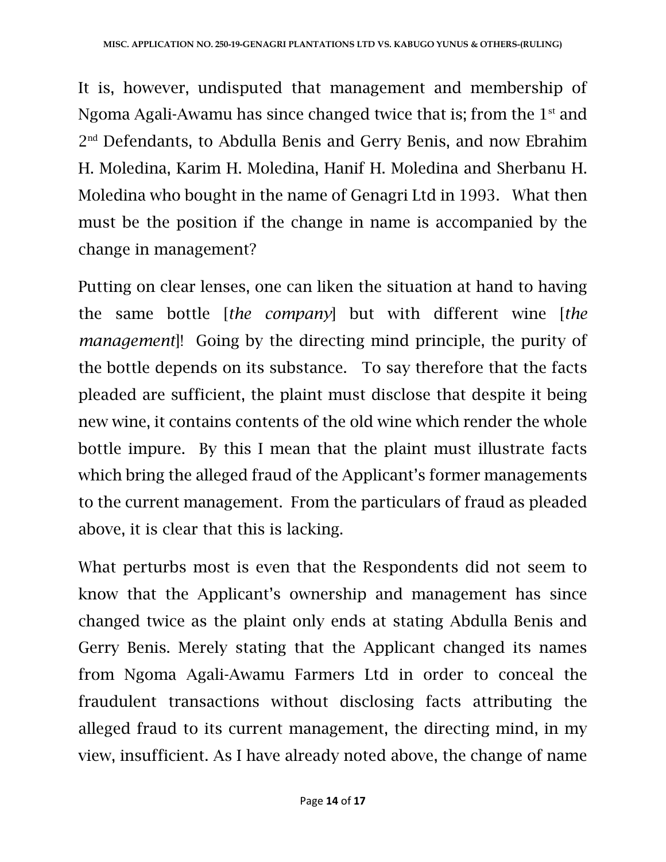It is, however, undisputed that management and membership of Ngoma Agali-Awamu has since changed twice that is; from the  $1<sup>st</sup>$  and 2<sup>nd</sup> Defendants, to Abdulla Benis and Gerry Benis, and now Ebrahim H. Moledina, Karim H. Moledina, Hanif H. Moledina and Sherbanu H. Moledina who bought in the name of Genagri Ltd in 1993. What then must be the position if the change in name is accompanied by the change in management?

Putting on clear lenses, one can liken the situation at hand to having the same bottle [*the company*] but with different wine [*the management*]! Going by the directing mind principle, the purity of the bottle depends on its substance. To say therefore that the facts pleaded are sufficient, the plaint must disclose that despite it being new wine, it contains contents of the old wine which render the whole bottle impure. By this I mean that the plaint must illustrate facts which bring the alleged fraud of the Applicant's former managements to the current management. From the particulars of fraud as pleaded above, it is clear that this is lacking.

What perturbs most is even that the Respondents did not seem to know that the Applicant's ownership and management has since changed twice as the plaint only ends at stating Abdulla Benis and Gerry Benis. Merely stating that the Applicant changed its names from Ngoma Agali-Awamu Farmers Ltd in order to conceal the fraudulent transactions without disclosing facts attributing the alleged fraud to its current management, the directing mind, in my view, insufficient. As I have already noted above, the change of name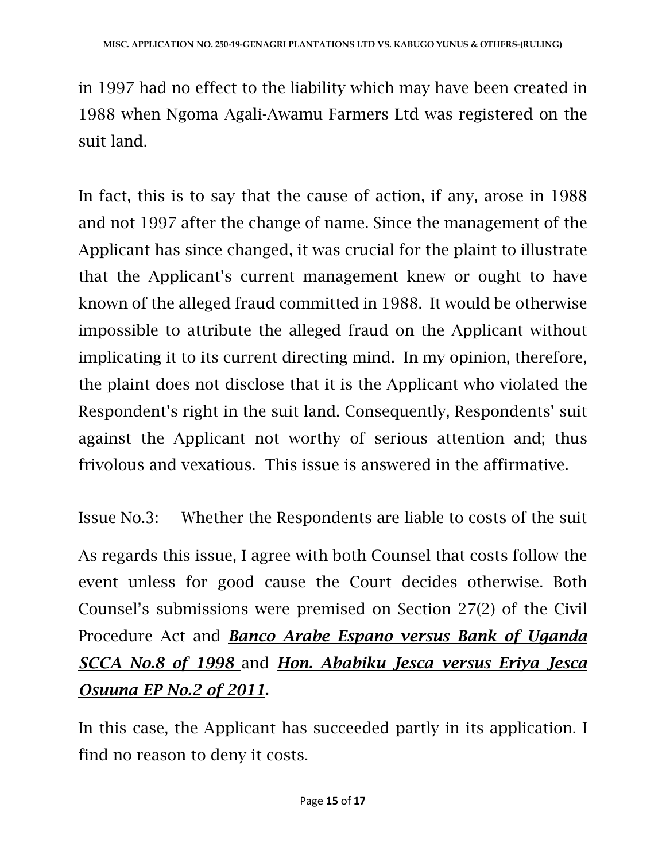in 1997 had no effect to the liability which may have been created in 1988 when Ngoma Agali-Awamu Farmers Ltd was registered on the suit land.

In fact, this is to say that the cause of action, if any, arose in 1988 and not 1997 after the change of name. Since the management of the Applicant has since changed, it was crucial for the plaint to illustrate that the Applicant's current management knew or ought to have known of the alleged fraud committed in 1988. It would be otherwise impossible to attribute the alleged fraud on the Applicant without implicating it to its current directing mind. In my opinion, therefore, the plaint does not disclose that it is the Applicant who violated the Respondent's right in the suit land. Consequently, Respondents' suit against the Applicant not worthy of serious attention and; thus frivolous and vexatious. This issue is answered in the affirmative.

## Issue No.3: Whether the Respondents are liable to costs of the suit

As regards this issue, I agree with both Counsel that costs follow the event unless for good cause the Court decides otherwise. Both Counsel's submissions were premised on Section 27(2) of the Civil Procedure Act and *Banco Arabe Espano versus Bank of Uganda SCCA No.8 of 1998* and *Hon. Ababiku Jesca versus Eriya Jesca Osuuna EP No.2 of 2011*.

In this case, the Applicant has succeeded partly in its application. I find no reason to deny it costs.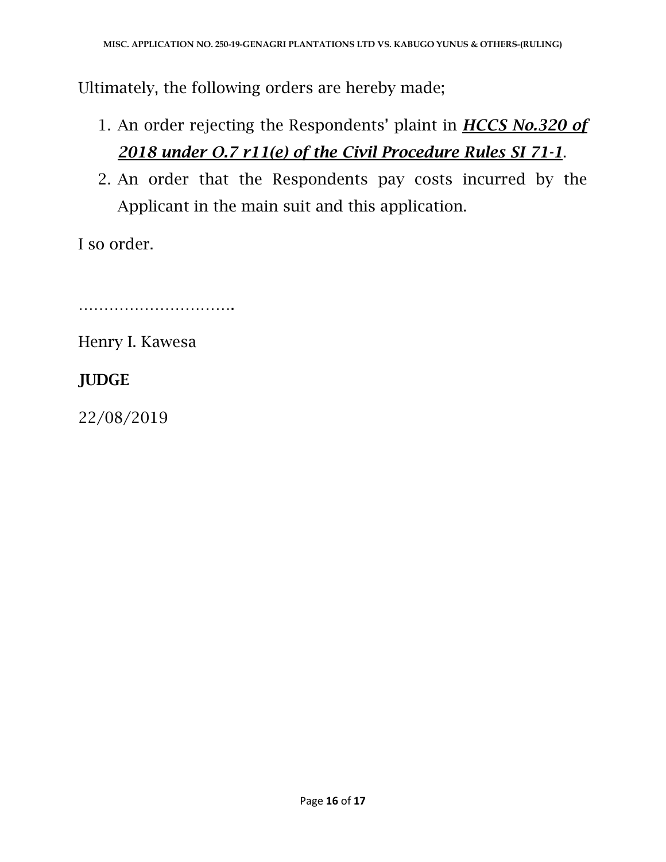Ultimately, the following orders are hereby made;

- 1. An order rejecting the Respondents' plaint in *HCCS No.320 of 2018 under O.7 r11(e) of the Civil Procedure Rules SI 71-1*.
- 2. An order that the Respondents pay costs incurred by the Applicant in the main suit and this application.

I so order.

………………………….

Henry I. Kawesa

## **JUDGE**

22/08/2019